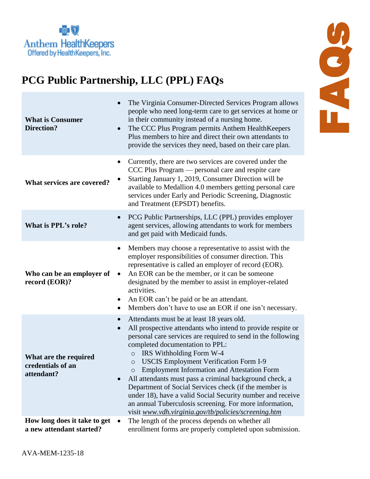

## **PCG Public Partnership, LLC (PPL) FAQs**

| <b>What is Consumer</b><br><b>Direction?</b>             | The Virginia Consumer-Directed Services Program allows<br>people who need long-term care to get services at home or<br>in their community instead of a nursing home.<br>The CCC Plus Program permits Anthem Health Keepers<br>$\bullet$<br>Plus members to hire and direct their own attendants to<br>provide the services they need, based on their care plan.                                                                                                                                                                                                                                                                                                                                     |
|----------------------------------------------------------|-----------------------------------------------------------------------------------------------------------------------------------------------------------------------------------------------------------------------------------------------------------------------------------------------------------------------------------------------------------------------------------------------------------------------------------------------------------------------------------------------------------------------------------------------------------------------------------------------------------------------------------------------------------------------------------------------------|
| What services are covered?                               | Currently, there are two services are covered under the<br>$\bullet$<br>CCC Plus Program — personal care and respite care<br>Starting January 1, 2019, Consumer Direction will be<br>available to Medallion 4.0 members getting personal care<br>services under Early and Periodic Screening, Diagnostic<br>and Treatment (EPSDT) benefits.                                                                                                                                                                                                                                                                                                                                                         |
| What is PPL's role?                                      | PCG Public Partnerships, LLC (PPL) provides employer<br>$\bullet$<br>agent services, allowing attendants to work for members<br>and get paid with Medicaid funds.                                                                                                                                                                                                                                                                                                                                                                                                                                                                                                                                   |
| Who can be an employer of<br>record (EOR)?               | Members may choose a representative to assist with the<br>employer responsibilities of consumer direction. This<br>representative is called an employer of record (EOR).<br>An EOR can be the member, or it can be someone<br>$\bullet$<br>designated by the member to assist in employer-related<br>activities.<br>An EOR can't be paid or be an attendant.<br>Members don't have to use an EOR if one isn't necessary.                                                                                                                                                                                                                                                                            |
| What are the required<br>credentials of an<br>attendant? | Attendants must be at least 18 years old.<br>$\bullet$<br>All prospective attendants who intend to provide respite or<br>$\bullet$<br>personal care services are required to send in the following<br>completed documentation to PPL:<br>IRS Withholding Form W-4<br>$\circ$<br><b>USCIS Employment Verification Form I-9</b><br>$\circ$<br><b>Employment Information and Attestation Form</b><br>All attendants must pass a criminal background check, a<br>Department of Social Services check (if the member is<br>under 18), have a valid Social Security number and receive<br>an annual Tuberculosis screening. For more information,<br>visit www.vdh.virginia.gov/tb/policies/screening.htm |
| How long does it take to get<br>a new attendant started? | The length of the process depends on whether all<br>enrollment forms are properly completed upon submission.                                                                                                                                                                                                                                                                                                                                                                                                                                                                                                                                                                                        |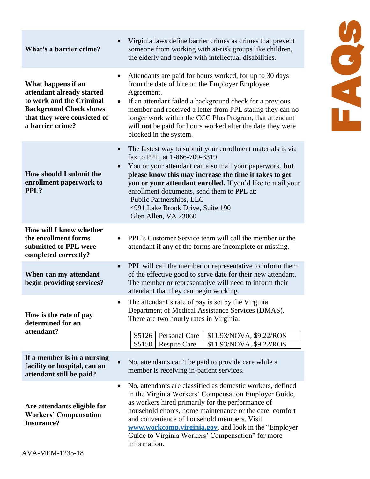| What's a barrier crime?                                                                                                                                         | Virginia laws define barrier crimes as crimes that prevent<br>someone from working with at-risk groups like children,<br>the elderly and people with intellectual disabilities.                                                                                                                                                                                                                                                    |
|-----------------------------------------------------------------------------------------------------------------------------------------------------------------|------------------------------------------------------------------------------------------------------------------------------------------------------------------------------------------------------------------------------------------------------------------------------------------------------------------------------------------------------------------------------------------------------------------------------------|
| What happens if an<br>attendant already started<br>to work and the Criminal<br><b>Background Check shows</b><br>that they were convicted of<br>a barrier crime? | Attendants are paid for hours worked, for up to 30 days<br>from the date of hire on the Employer Employee<br>Agreement.<br>If an attendant failed a background check for a previous<br>member and received a letter from PPL stating they can no<br>longer work within the CCC Plus Program, that attendant<br>will not be paid for hours worked after the date they were<br>blocked in the system.                                |
| How should I submit the<br>enrollment paperwork to<br>PPL?                                                                                                      | The fastest way to submit your enrollment materials is via<br>$\bullet$<br>fax to PPL, at 1-866-709-3319.<br>You or your attendant can also mail your paperwork, but<br>please know this may increase the time it takes to get<br>you or your attendant enrolled. If you'd like to mail your<br>enrollment documents, send them to PPL at:<br>Public Partnerships, LLC<br>4991 Lake Brook Drive, Suite 190<br>Glen Allen, VA 23060 |
| How will I know whether<br>the enrollment forms<br>submitted to PPL were<br>completed correctly?                                                                | PPL's Customer Service team will call the member or the<br>attendant if any of the forms are incomplete or missing.                                                                                                                                                                                                                                                                                                                |
| When can my attendant<br>begin providing services?                                                                                                              | PPL will call the member or representative to inform them<br>of the effective good to serve date for their new attendant.<br>The member or representative will need to inform their<br>attendant that they can begin working.                                                                                                                                                                                                      |
| How is the rate of pay<br>determined for an<br>attendant?                                                                                                       | The attendant's rate of pay is set by the Virginia<br>$\bullet$<br>Department of Medical Assistance Services (DMAS).<br>There are two hourly rates in Virginia:<br>Personal Care<br>S5126<br>\$11.93/NOVA, \$9.22/ROS<br>S5150<br><b>Respite Care</b><br>\$11.93/NOVA, \$9.22/ROS                                                                                                                                                  |
| If a member is in a nursing<br>facility or hospital, can an<br>attendant still be paid?                                                                         | No, attendants can't be paid to provide care while a<br>member is receiving in-patient services.                                                                                                                                                                                                                                                                                                                                   |
| Are attendants eligible for<br><b>Workers' Compensation</b><br><b>Insurance?</b><br>AVA-MEM-1235-18                                                             | No, attendants are classified as domestic workers, defined<br>in the Virginia Workers' Compensation Employer Guide,<br>as workers hired primarily for the performance of<br>household chores, home maintenance or the care, comfort<br>and convenience of household members. Visit<br>www.workcomp.virginia.gov, and look in the "Employer"<br>Guide to Virginia Workers' Compensation" for more<br>information.                   |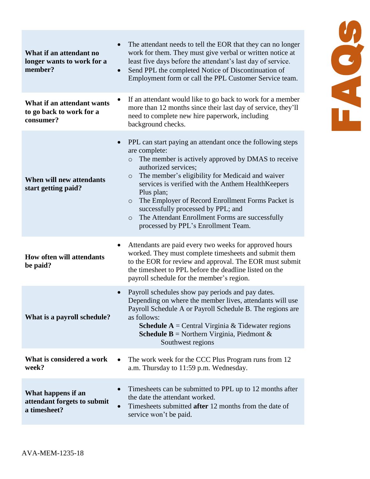| What if an attendant no<br>longer wants to work for a<br>member?    | The attendant needs to tell the EOR that they can no longer<br>work for them. They must give verbal or written notice at<br>least five days before the attendant's last day of service.<br>Send PPL the completed Notice of Discontinuation of<br>$\bullet$<br>Employment form or call the PPL Customer Service team.                                                                                                                                                                                               |
|---------------------------------------------------------------------|---------------------------------------------------------------------------------------------------------------------------------------------------------------------------------------------------------------------------------------------------------------------------------------------------------------------------------------------------------------------------------------------------------------------------------------------------------------------------------------------------------------------|
| What if an attendant wants<br>to go back to work for a<br>consumer? | If an attendant would like to go back to work for a member<br>more than 12 months since their last day of service, they'll<br>need to complete new hire paperwork, including<br>background checks.                                                                                                                                                                                                                                                                                                                  |
| When will new attendants<br>start getting paid?                     | PPL can start paying an attendant once the following steps<br>are complete:<br>The member is actively approved by DMAS to receive<br>$\circ$<br>authorized services;<br>The member's eligibility for Medicaid and waiver<br>$\circ$<br>services is verified with the Anthem Health Keepers<br>Plus plan;<br>The Employer of Record Enrollment Forms Packet is<br>$\circ$<br>successfully processed by PPL; and<br>The Attendant Enrollment Forms are successfully<br>$\circ$<br>processed by PPL's Enrollment Team. |
| <b>How often will attendants</b><br>be paid?                        | Attendants are paid every two weeks for approved hours<br>worked. They must complete timesheets and submit them<br>to the EOR for review and approval. The EOR must submit<br>the timesheet to PPL before the deadline listed on the<br>payroll schedule for the member's region.                                                                                                                                                                                                                                   |
| What is a payroll schedule?                                         | Payroll schedules show pay periods and pay dates.<br>Depending on where the member lives, attendants will use<br>Payroll Schedule A or Payroll Schedule B. The regions are<br>as follows:<br><b>Schedule A</b> = Central Virginia & Tidewater regions<br><b>Schedule B</b> = Northern Virginia, Piedmont &<br>Southwest regions                                                                                                                                                                                     |
| What is considered a work<br>week?                                  | The work week for the CCC Plus Program runs from 12<br>$\bullet$<br>a.m. Thursday to 11:59 p.m. Wednesday.                                                                                                                                                                                                                                                                                                                                                                                                          |
| What happens if an<br>attendant forgets to submit<br>a timesheet?   | Timesheets can be submitted to PPL up to 12 months after<br>the date the attendant worked.<br>Timesheets submitted after 12 months from the date of<br>service won't be paid.                                                                                                                                                                                                                                                                                                                                       |